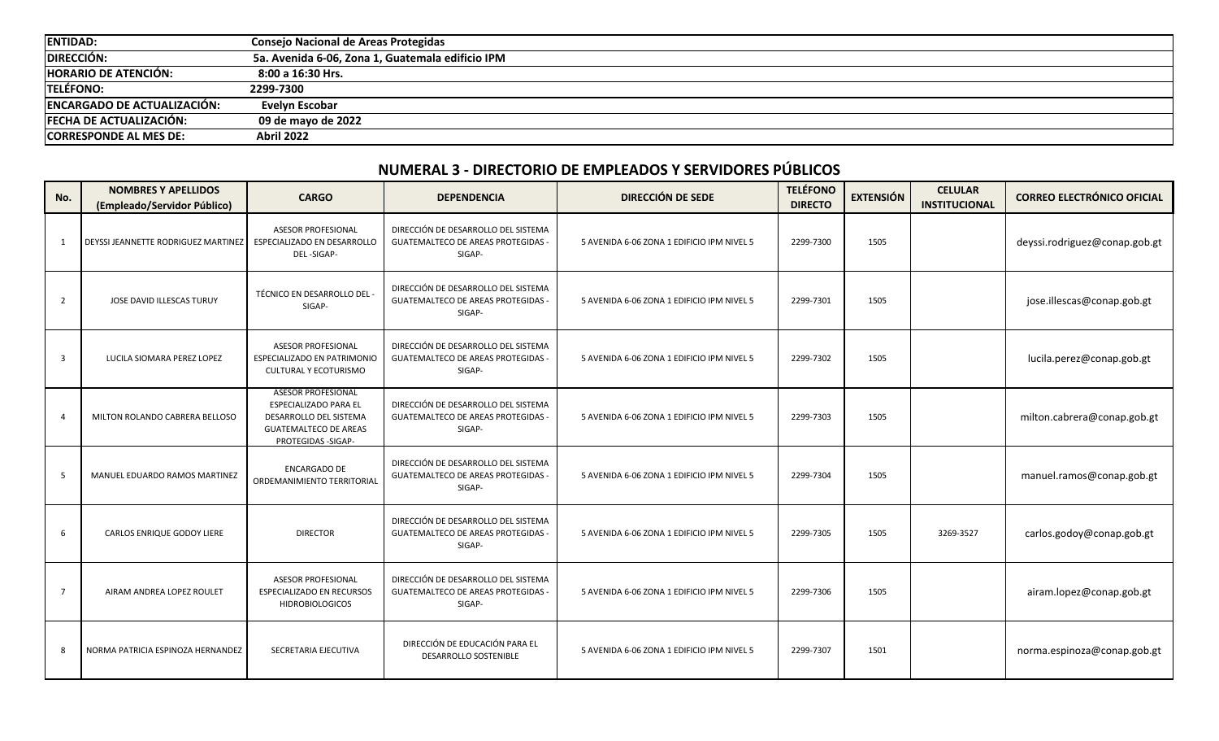| <b>ENTIDAD:</b>                     | <b>Consejo Nacional de Areas Protegidas</b>      |
|-------------------------------------|--------------------------------------------------|
| <b>DIRECCIÓN:</b>                   | 5a. Avenida 6-06, Zona 1, Guatemala edificio IPM |
| <b>HORARIO DE ATENCIÓN:</b>         | 8:00 a 16:30 Hrs.                                |
| <b>TELÉFONO:</b>                    | 2299-7300                                        |
| <b>IENCARGADO DE ACTUALIZACIÓN:</b> | Evelyn Escobar                                   |
| <b>IFECHA DE ACTUALIZACIÓN:</b>     | 09 de mayo de 2022                               |
| <b>CORRESPONDE AL MES DE:</b>       | <b>Abril 2022</b>                                |

## **NUMERAL 3 - DIRECTORIO DE EMPLEADOS Y SERVIDORES PÚBLICOS**

| No.            | <b>NOMBRES Y APELLIDOS</b><br>(Empleado/Servidor Público) | <b>CARGO</b>                                                                                                                               | <b>DEPENDENCIA</b>                                                                         | <b>DIRECCIÓN DE SEDE</b>                   | <b>TELÉFONO</b><br><b>DIRECTO</b> | <b>EXTENSIÓN</b> | <b>CELULAR</b><br><b>INSTITUCIONAL</b> | <b>CORREO ELECTRÓNICO OFICIAL</b> |
|----------------|-----------------------------------------------------------|--------------------------------------------------------------------------------------------------------------------------------------------|--------------------------------------------------------------------------------------------|--------------------------------------------|-----------------------------------|------------------|----------------------------------------|-----------------------------------|
| $\mathbf{1}$   | DEYSSI JEANNETTE RODRIGUEZ MARTINEZ                       | <b>ASESOR PROFESIONAL</b><br>ESPECIALIZADO EN DESARROLLO<br>DEL-SIGAP-                                                                     | DIRECCIÓN DE DESARROLLO DEL SISTEMA<br><b>GUATEMALTECO DE AREAS PROTEGIDAS -</b><br>SIGAP- | 5 AVENIDA 6-06 ZONA 1 EDIFICIO IPM NIVEL 5 | 2299-7300                         | 1505             |                                        | deyssi.rodriguez@conap.gob.gt     |
| 2              | JOSE DAVID ILLESCAS TURUY                                 | TÉCNICO EN DESARROLLO DEL<br>SIGAP-                                                                                                        | DIRECCIÓN DE DESARROLLO DEL SISTEMA<br><b>GUATEMALTECO DE AREAS PROTEGIDAS -</b><br>SIGAP- | 5 AVENIDA 6-06 ZONA 1 EDIFICIO IPM NIVEL 5 | 2299-7301                         | 1505             |                                        | jose.illescas@conap.gob.gt        |
| 3              | LUCILA SIOMARA PEREZ LOPEZ                                | <b>ASESOR PROFESIONAL</b><br>ESPECIALIZADO EN PATRIMONIO<br><b>CULTURAL Y ECOTURISMO</b>                                                   | DIRECCIÓN DE DESARROLLO DEL SISTEMA<br>GUATEMALTECO DE AREAS PROTEGIDAS -<br>SIGAP-        | 5 AVENIDA 6-06 ZONA 1 EDIFICIO IPM NIVEL 5 | 2299-7302                         | 1505             |                                        | lucila.perez@conap.gob.gt         |
| 4              | MILTON ROLANDO CABRERA BELLOSO                            | <b>ASESOR PROFESIONAL</b><br><b>ESPECIALIZADO PARA EL</b><br>DESARROLLO DEL SISTEMA<br><b>GUATEMALTECO DE AREAS</b><br>PROTEGIDAS - SIGAP- | DIRECCIÓN DE DESARROLLO DEL SISTEMA<br><b>GUATEMALTECO DE AREAS PROTEGIDAS -</b><br>SIGAP- | 5 AVENIDA 6-06 ZONA 1 EDIFICIO IPM NIVEL 5 | 2299-7303                         | 1505             |                                        | milton.cabrera@conap.gob.gt       |
| 5              | MANUEL EDUARDO RAMOS MARTINEZ                             | <b>ENCARGADO DE</b><br>ORDEMANIMIENTO TERRITORIAL                                                                                          | DIRECCIÓN DE DESARROLLO DEL SISTEMA<br><b>GUATEMALTECO DE AREAS PROTEGIDAS -</b><br>SIGAP- | 5 AVENIDA 6-06 ZONA 1 EDIFICIO IPM NIVEL 5 | 2299-7304                         | 1505             |                                        | manuel.ramos@conap.gob.gt         |
| 6              | CARLOS ENRIQUE GODOY LIERE                                | <b>DIRECTOR</b>                                                                                                                            | DIRECCIÓN DE DESARROLLO DEL SISTEMA<br><b>GUATEMALTECO DE AREAS PROTEGIDAS -</b><br>SIGAP- | 5 AVENIDA 6-06 ZONA 1 EDIFICIO IPM NIVEL 5 | 2299-7305                         | 1505             | 3269-3527                              | carlos.godoy@conap.gob.gt         |
| $\overline{7}$ | AIRAM ANDREA LOPEZ ROULET                                 | <b>ASESOR PROFESIONAL</b><br><b>ESPECIALIZADO EN RECURSOS</b><br><b>HIDROBIOLOGICOS</b>                                                    | DIRECCIÓN DE DESARROLLO DEL SISTEMA<br><b>GUATEMALTECO DE AREAS PROTEGIDAS -</b><br>SIGAP- | 5 AVENIDA 6-06 ZONA 1 EDIFICIO IPM NIVEL 5 | 2299-7306                         | 1505             |                                        | airam.lopez@conap.gob.gt          |
| 8              | NORMA PATRICIA ESPINOZA HERNANDEZ                         | SECRETARIA EJECUTIVA                                                                                                                       | DIRECCIÓN DE EDUCACIÓN PARA EL<br><b>DESARROLLO SOSTENIBLE</b>                             | 5 AVENIDA 6-06 ZONA 1 EDIFICIO IPM NIVEL 5 | 2299-7307                         | 1501             |                                        | norma.espinoza@conap.gob.gt       |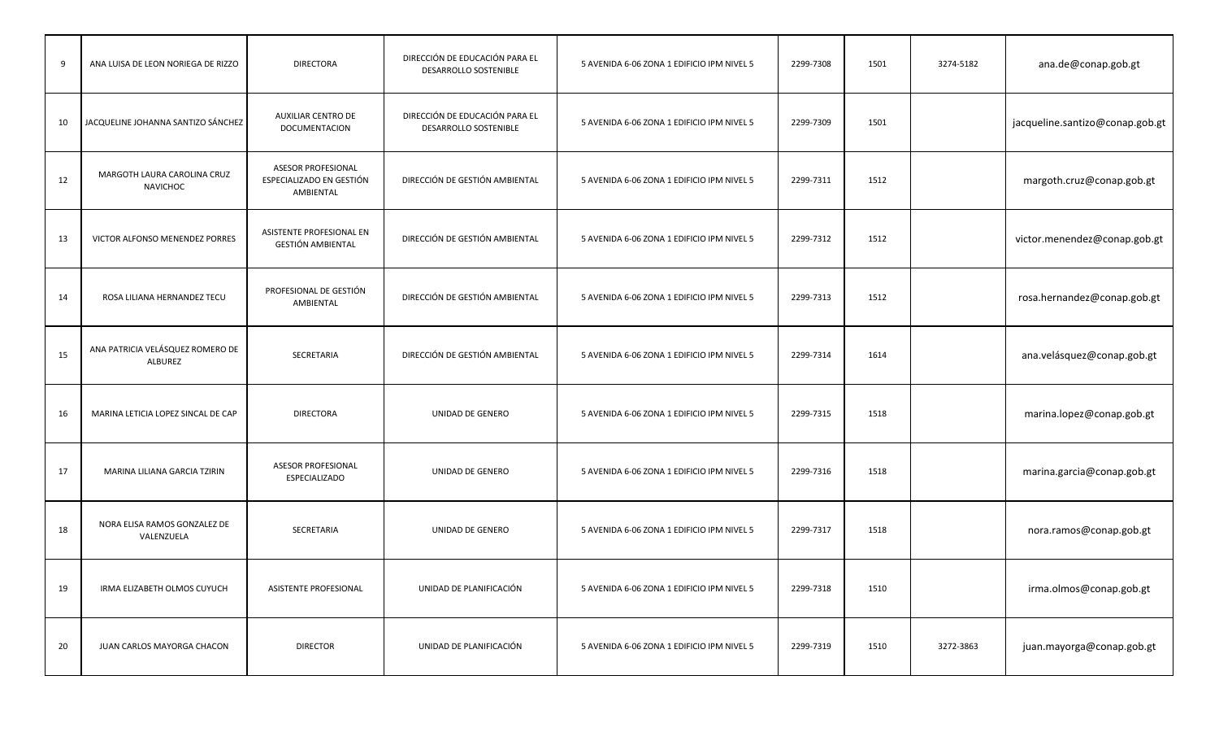| 9  | ANA LUISA DE LEON NORIEGA DE RIZZO             | <b>DIRECTORA</b>                                            | DIRECCIÓN DE EDUCACIÓN PARA EL<br><b>DESARROLLO SOSTENIBLE</b> | 5 AVENIDA 6-06 ZONA 1 EDIFICIO IPM NIVEL 5 | 2299-7308 | 1501 | 3274-5182 | ana.de@conap.gob.gt             |
|----|------------------------------------------------|-------------------------------------------------------------|----------------------------------------------------------------|--------------------------------------------|-----------|------|-----------|---------------------------------|
| 10 | JACQUELINE JOHANNA SANTIZO SÁNCHEZ             | <b>AUXILIAR CENTRO DE</b><br>DOCUMENTACION                  | DIRECCIÓN DE EDUCACIÓN PARA EL<br><b>DESARROLLO SOSTENIBLE</b> | 5 AVENIDA 6-06 ZONA 1 EDIFICIO IPM NIVEL 5 | 2299-7309 | 1501 |           | jacqueline.santizo@conap.gob.gt |
| 12 | MARGOTH LAURA CAROLINA CRUZ<br><b>NAVICHOC</b> | ASESOR PROFESIONAL<br>ESPECIALIZADO EN GESTIÓN<br>AMBIENTAL | DIRECCIÓN DE GESTIÓN AMBIENTAL                                 | 5 AVENIDA 6-06 ZONA 1 EDIFICIO IPM NIVEL 5 | 2299-7311 | 1512 |           | margoth.cruz@conap.gob.gt       |
| 13 | VICTOR ALFONSO MENENDEZ PORRES                 | ASISTENTE PROFESIONAL EN<br><b>GESTIÓN AMBIENTAL</b>        | DIRECCIÓN DE GESTIÓN AMBIENTAL                                 | 5 AVENIDA 6-06 ZONA 1 EDIFICIO IPM NIVEL 5 | 2299-7312 | 1512 |           | victor.menendez@conap.gob.gt    |
| 14 | ROSA LILIANA HERNANDEZ TECU                    | PROFESIONAL DE GESTIÓN<br>AMBIENTAL                         | DIRECCIÓN DE GESTIÓN AMBIENTAL                                 | 5 AVENIDA 6-06 ZONA 1 EDIFICIO IPM NIVEL 5 | 2299-7313 | 1512 |           | rosa.hernandez@conap.gob.gt     |
| 15 | ANA PATRICIA VELÁSQUEZ ROMERO DE<br>ALBUREZ    | SECRETARIA                                                  | DIRECCIÓN DE GESTIÓN AMBIENTAL                                 | 5 AVENIDA 6-06 ZONA 1 EDIFICIO IPM NIVEL 5 | 2299-7314 | 1614 |           | ana.velásquez@conap.gob.gt      |
| 16 | MARINA LETICIA LOPEZ SINCAL DE CAP             | <b>DIRECTORA</b>                                            | UNIDAD DE GENERO                                               | 5 AVENIDA 6-06 ZONA 1 EDIFICIO IPM NIVEL 5 | 2299-7315 | 1518 |           | marina.lopez@conap.gob.gt       |
| 17 | MARINA LILIANA GARCIA TZIRIN                   | <b>ASESOR PROFESIONAL</b><br>ESPECIALIZADO                  | UNIDAD DE GENERO                                               | 5 AVENIDA 6-06 ZONA 1 EDIFICIO IPM NIVEL 5 | 2299-7316 | 1518 |           | marina.garcia@conap.gob.gt      |
| 18 | NORA ELISA RAMOS GONZALEZ DE<br>VALENZUELA     | SECRETARIA                                                  | UNIDAD DE GENERO                                               | 5 AVENIDA 6-06 ZONA 1 EDIFICIO IPM NIVEL 5 | 2299-7317 | 1518 |           | nora.ramos@conap.gob.gt         |
| 19 | IRMA ELIZABETH OLMOS CUYUCH                    | ASISTENTE PROFESIONAL                                       | UNIDAD DE PLANIFICACIÓN                                        | 5 AVENIDA 6-06 ZONA 1 EDIFICIO IPM NIVEL 5 | 2299-7318 | 1510 |           | irma.olmos@conap.gob.gt         |
| 20 | JUAN CARLOS MAYORGA CHACON                     | <b>DIRECTOR</b>                                             | UNIDAD DE PLANIFICACIÓN                                        | 5 AVENIDA 6-06 ZONA 1 EDIFICIO IPM NIVEL 5 | 2299-7319 | 1510 | 3272-3863 | juan.mayorga@conap.gob.gt       |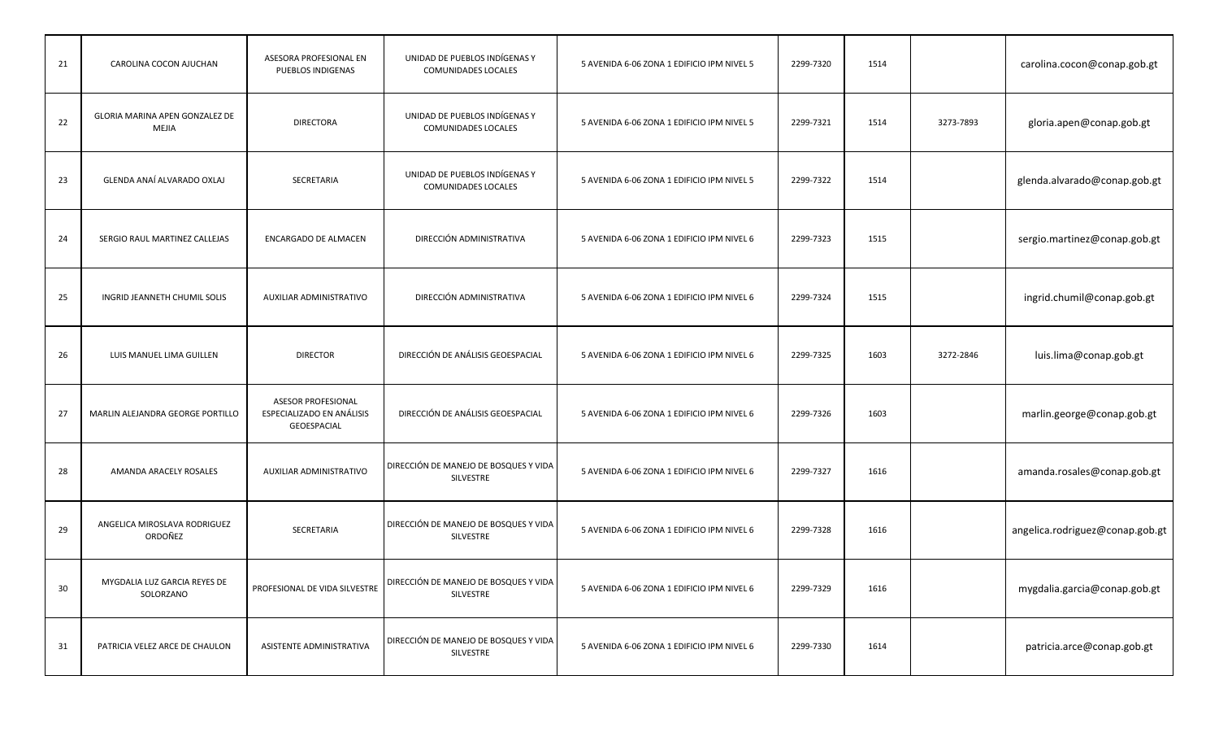| 21 | CAROLINA COCON AJUCHAN                    | ASESORA PROFESIONAL EN<br>PUEBLOS INDIGENAS                           | UNIDAD DE PUEBLOS INDÍGENAS Y<br>COMUNIDADES LOCALES | 5 AVENIDA 6-06 ZONA 1 EDIFICIO IPM NIVEL 5 | 2299-7320 | 1514 |           | carolina.cocon@conap.gob.gt     |
|----|-------------------------------------------|-----------------------------------------------------------------------|------------------------------------------------------|--------------------------------------------|-----------|------|-----------|---------------------------------|
| 22 | GLORIA MARINA APEN GONZALEZ DE<br>MEJIA   | <b>DIRECTORA</b>                                                      | UNIDAD DE PUEBLOS INDÍGENAS Y<br>COMUNIDADES LOCALES | 5 AVENIDA 6-06 ZONA 1 EDIFICIO IPM NIVEL 5 | 2299-7321 | 1514 | 3273-7893 | gloria.apen@conap.gob.gt        |
| 23 | GLENDA ANAÍ ALVARADO OXLAJ                | SECRETARIA                                                            | UNIDAD DE PUEBLOS INDÍGENAS Y<br>COMUNIDADES LOCALES | 5 AVENIDA 6-06 ZONA 1 EDIFICIO IPM NIVEL 5 | 2299-7322 | 1514 |           | glenda.alvarado@conap.gob.gt    |
| 24 | SERGIO RAUL MARTINEZ CALLEJAS             | ENCARGADO DE ALMACEN                                                  | DIRECCIÓN ADMINISTRATIVA                             | 5 AVENIDA 6-06 ZONA 1 EDIFICIO IPM NIVEL 6 | 2299-7323 | 1515 |           | sergio.martinez@conap.gob.gt    |
| 25 | INGRID JEANNETH CHUMIL SOLIS              | AUXILIAR ADMINISTRATIVO                                               | DIRECCIÓN ADMINISTRATIVA                             | 5 AVENIDA 6-06 ZONA 1 EDIFICIO IPM NIVEL 6 | 2299-7324 | 1515 |           | ingrid.chumil@conap.gob.gt      |
| 26 | LUIS MANUEL LIMA GUILLEN                  | <b>DIRECTOR</b>                                                       | DIRECCIÓN DE ANÁLISIS GEOESPACIAL                    | 5 AVENIDA 6-06 ZONA 1 EDIFICIO IPM NIVEL 6 | 2299-7325 | 1603 | 3272-2846 | luis.lima@conap.gob.gt          |
| 27 | MARLIN ALEJANDRA GEORGE PORTILLO          | <b>ASESOR PROFESIONAL</b><br>ESPECIALIZADO EN ANÁLISIS<br>GEOESPACIAL | DIRECCIÓN DE ANÁLISIS GEOESPACIAL                    | 5 AVENIDA 6-06 ZONA 1 EDIFICIO IPM NIVEL 6 | 2299-7326 | 1603 |           | marlin.george@conap.gob.gt      |
| 28 | AMANDA ARACELY ROSALES                    | AUXILIAR ADMINISTRATIVO                                               | DIRECCIÓN DE MANEJO DE BOSQUES Y VIDA<br>SILVESTRE   | 5 AVENIDA 6-06 ZONA 1 EDIFICIO IPM NIVEL 6 | 2299-7327 | 1616 |           | amanda.rosales@conap.gob.gt     |
| 29 | ANGELICA MIROSLAVA RODRIGUEZ<br>ORDOÑEZ   | SECRETARIA                                                            | DIRECCIÓN DE MANEJO DE BOSQUES Y VIDA<br>SILVESTRE   | 5 AVENIDA 6-06 ZONA 1 EDIFICIO IPM NIVEL 6 | 2299-7328 | 1616 |           | angelica.rodriguez@conap.gob.gt |
| 30 | MYGDALIA LUZ GARCIA REYES DE<br>SOLORZANO | PROFESIONAL DE VIDA SILVESTRE                                         | DIRECCIÓN DE MANEJO DE BOSQUES Y VIDA<br>SILVESTRE   | 5 AVENIDA 6-06 ZONA 1 EDIFICIO IPM NIVEL 6 | 2299-7329 | 1616 |           | mygdalia.garcia@conap.gob.gt    |
| 31 | PATRICIA VELEZ ARCE DE CHAULON            | ASISTENTE ADMINISTRATIVA                                              | DIRECCIÓN DE MANEJO DE BOSQUES Y VIDA<br>SILVESTRE   | 5 AVENIDA 6-06 ZONA 1 EDIFICIO IPM NIVEL 6 | 2299-7330 | 1614 |           | patricia.arce@conap.gob.gt      |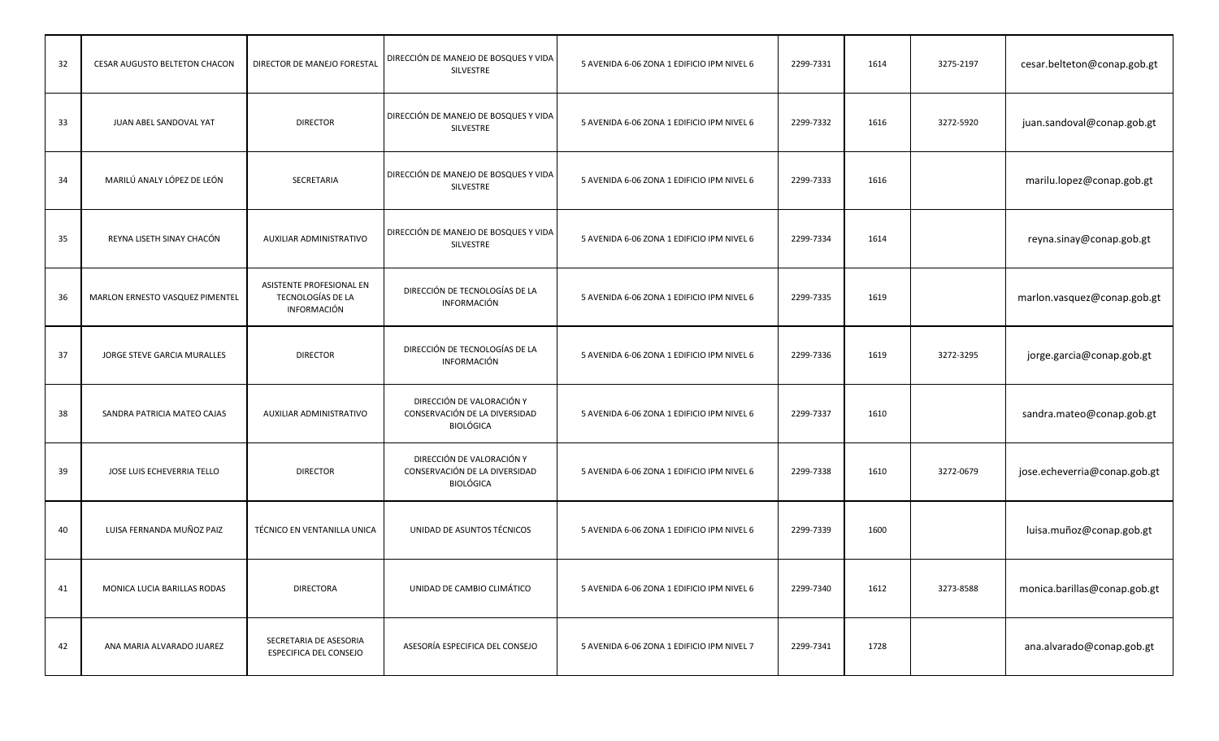| 32 | CESAR AUGUSTO BELTETON CHACON   | DIRECTOR DE MANEJO FORESTAL                                  | DIRECCIÓN DE MANEJO DE BOSQUES Y VIDA<br>SILVESTRE                             | 5 AVENIDA 6-06 ZONA 1 EDIFICIO IPM NIVEL 6 | 2299-7331 | 1614 | 3275-2197 | cesar.belteton@conap.gob.gt  |
|----|---------------------------------|--------------------------------------------------------------|--------------------------------------------------------------------------------|--------------------------------------------|-----------|------|-----------|------------------------------|
| 33 | JUAN ABEL SANDOVAL YAT          | <b>DIRECTOR</b>                                              | DIRECCIÓN DE MANEJO DE BOSQUES Y VIDA<br>SILVESTRE                             | 5 AVENIDA 6-06 ZONA 1 EDIFICIO IPM NIVEL 6 | 2299-7332 | 1616 | 3272-5920 | juan.sandoval@conap.gob.gt   |
| 34 | MARILÚ ANALY LÓPEZ DE LEÓN      | SECRETARIA                                                   | DIRECCIÓN DE MANEJO DE BOSQUES Y VIDA<br>SILVESTRE                             | 5 AVENIDA 6-06 ZONA 1 EDIFICIO IPM NIVEL 6 | 2299-7333 | 1616 |           | marilu.lopez@conap.gob.gt    |
| 35 | REYNA LISETH SINAY CHACÓN       | AUXILIAR ADMINISTRATIVO                                      | DIRECCIÓN DE MANEJO DE BOSQUES Y VIDA<br>SILVESTRE                             | 5 AVENIDA 6-06 ZONA 1 EDIFICIO IPM NIVEL 6 | 2299-7334 | 1614 |           | reyna.sinay@conap.gob.gt     |
| 36 | MARLON ERNESTO VASQUEZ PIMENTEL | ASISTENTE PROFESIONAL EN<br>TECNOLOGÍAS DE LA<br>INFORMACIÓN | DIRECCIÓN DE TECNOLOGÍAS DE LA<br>INFORMACIÓN                                  | 5 AVENIDA 6-06 ZONA 1 EDIFICIO IPM NIVEL 6 | 2299-7335 | 1619 |           | marlon.vasquez@conap.gob.gt  |
| 37 | JORGE STEVE GARCIA MURALLES     | <b>DIRECTOR</b>                                              | DIRECCIÓN DE TECNOLOGÍAS DE LA<br>INFORMACIÓN                                  | 5 AVENIDA 6-06 ZONA 1 EDIFICIO IPM NIVEL 6 | 2299-7336 | 1619 | 3272-3295 | jorge.garcia@conap.gob.gt    |
| 38 | SANDRA PATRICIA MATEO CAJAS     | AUXILIAR ADMINISTRATIVO                                      | DIRECCIÓN DE VALORACIÓN Y<br>CONSERVACIÓN DE LA DIVERSIDAD<br><b>BIOLÓGICA</b> | 5 AVENIDA 6-06 ZONA 1 EDIFICIO IPM NIVEL 6 | 2299-7337 | 1610 |           | sandra.mateo@conap.gob.gt    |
| 39 | JOSE LUIS ECHEVERRIA TELLO      | <b>DIRECTOR</b>                                              | DIRECCIÓN DE VALORACIÓN Y<br>CONSERVACIÓN DE LA DIVERSIDAD<br><b>BIOLÓGICA</b> | 5 AVENIDA 6-06 ZONA 1 EDIFICIO IPM NIVEL 6 | 2299-7338 | 1610 | 3272-0679 | jose.echeverria@conap.gob.gt |
| 40 | LUISA FERNANDA MUÑOZ PAIZ       | TÉCNICO EN VENTANILLA UNICA                                  | UNIDAD DE ASUNTOS TÉCNICOS                                                     | 5 AVENIDA 6-06 ZONA 1 EDIFICIO IPM NIVEL 6 | 2299-7339 | 1600 |           | luisa.muñoz@conap.gob.gt     |
| 41 | MONICA LUCIA BARILLAS RODAS     | <b>DIRECTORA</b>                                             | UNIDAD DE CAMBIO CLIMÁTICO                                                     | 5 AVENIDA 6-06 ZONA 1 EDIFICIO IPM NIVEL 6 | 2299-7340 | 1612 | 3273-8588 | monica.barillas@conap.gob.gt |
| 42 | ANA MARIA ALVARADO JUAREZ       | SECRETARIA DE ASESORIA<br>ESPECIFICA DEL CONSEJO             | ASESORÍA ESPECIFICA DEL CONSEJO                                                | 5 AVENIDA 6-06 ZONA 1 EDIFICIO IPM NIVEL 7 | 2299-7341 | 1728 |           | ana.alvarado@conap.gob.gt    |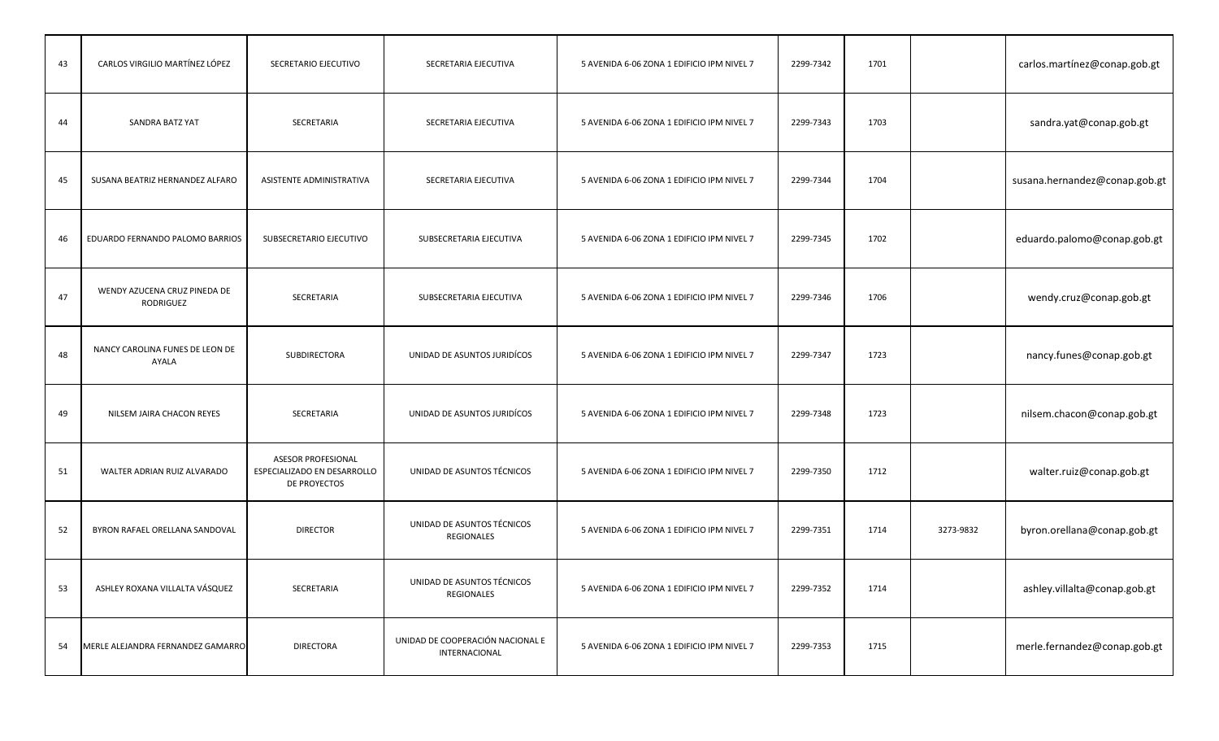| 43 | CARLOS VIRGILIO MARTÍNEZ LÓPEZ            | SECRETARIO EJECUTIVO                                                     | SECRETARIA EJECUTIVA                              | 5 AVENIDA 6-06 ZONA 1 EDIFICIO IPM NIVEL 7 | 2299-7342 | 1701 |           | carlos.martínez@conap.gob.gt  |
|----|-------------------------------------------|--------------------------------------------------------------------------|---------------------------------------------------|--------------------------------------------|-----------|------|-----------|-------------------------------|
| 44 | SANDRA BATZ YAT                           | SECRETARIA                                                               | SECRETARIA EJECUTIVA                              | 5 AVENIDA 6-06 ZONA 1 EDIFICIO IPM NIVEL 7 | 2299-7343 | 1703 |           | sandra.yat@conap.gob.gt       |
| 45 | SUSANA BEATRIZ HERNANDEZ ALFARO           | ASISTENTE ADMINISTRATIVA                                                 | SECRETARIA EJECUTIVA                              | 5 AVENIDA 6-06 ZONA 1 EDIFICIO IPM NIVEL 7 | 2299-7344 | 1704 |           | susana.hernandez@conap.gob.gt |
| 46 | EDUARDO FERNANDO PALOMO BARRIOS           | SUBSECRETARIO EJECUTIVO                                                  | SUBSECRETARIA EJECUTIVA                           | 5 AVENIDA 6-06 ZONA 1 EDIFICIO IPM NIVEL 7 | 2299-7345 | 1702 |           | eduardo.palomo@conap.gob.gt   |
| 47 | WENDY AZUCENA CRUZ PINEDA DE<br>RODRIGUEZ | SECRETARIA                                                               | SUBSECRETARIA EJECUTIVA                           | 5 AVENIDA 6-06 ZONA 1 EDIFICIO IPM NIVEL 7 | 2299-7346 | 1706 |           | wendy.cruz@conap.gob.gt       |
| 48 | NANCY CAROLINA FUNES DE LEON DE<br>AYALA  | SUBDIRECTORA                                                             | UNIDAD DE ASUNTOS JURIDÍCOS                       | 5 AVENIDA 6-06 ZONA 1 EDIFICIO IPM NIVEL 7 | 2299-7347 | 1723 |           | nancy.funes@conap.gob.gt      |
| 49 | NILSEM JAIRA CHACON REYES                 | SECRETARIA                                                               | UNIDAD DE ASUNTOS JURIDÍCOS                       | 5 AVENIDA 6-06 ZONA 1 EDIFICIO IPM NIVEL 7 | 2299-7348 | 1723 |           | nilsem.chacon@conap.gob.gt    |
| 51 | WALTER ADRIAN RUIZ ALVARADO               | <b>ASESOR PROFESIONAL</b><br>ESPECIALIZADO EN DESARROLLO<br>DE PROYECTOS | UNIDAD DE ASUNTOS TÉCNICOS                        | 5 AVENIDA 6-06 ZONA 1 EDIFICIO IPM NIVEL 7 | 2299-7350 | 1712 |           | walter.ruiz@conap.gob.gt      |
| 52 | BYRON RAFAEL ORELLANA SANDOVAL            | <b>DIRECTOR</b>                                                          | UNIDAD DE ASUNTOS TÉCNICOS<br><b>REGIONALES</b>   | 5 AVENIDA 6-06 ZONA 1 EDIFICIO IPM NIVEL 7 | 2299-7351 | 1714 | 3273-9832 | byron.orellana@conap.gob.gt   |
| 53 | ASHLEY ROXANA VILLALTA VÁSQUEZ            | SECRETARIA                                                               | UNIDAD DE ASUNTOS TÉCNICOS<br><b>REGIONALES</b>   | 5 AVENIDA 6-06 ZONA 1 EDIFICIO IPM NIVEL 7 | 2299-7352 | 1714 |           | ashley.villalta@conap.gob.gt  |
| 54 | MERLE ALEJANDRA FERNANDEZ GAMARRO         | <b>DIRECTORA</b>                                                         | UNIDAD DE COOPERACIÓN NACIONAL E<br>INTERNACIONAL | 5 AVENIDA 6-06 ZONA 1 EDIFICIO IPM NIVEL 7 | 2299-7353 | 1715 |           | merle.fernandez@conap.gob.gt  |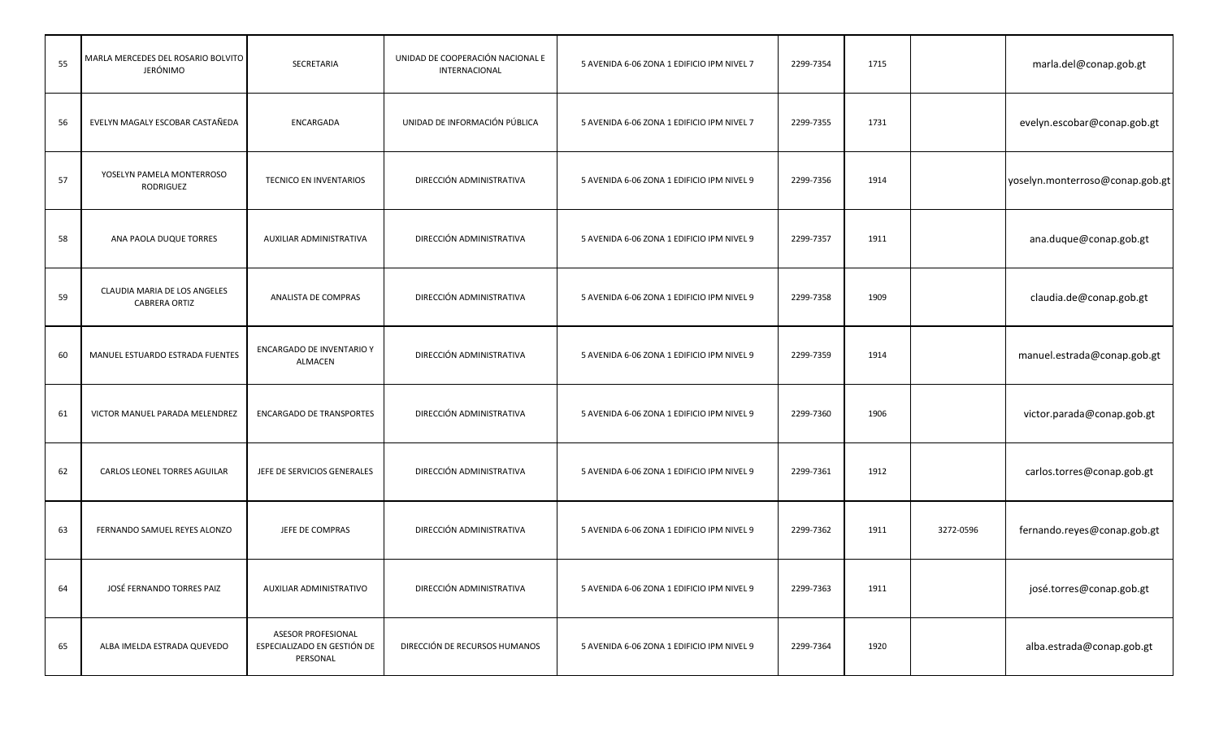| 55 | MARLA MERCEDES DEL ROSARIO BOLVITO<br>JERÓNIMO       | SECRETARIA                                                    | UNIDAD DE COOPERACIÓN NACIONAL E<br>INTERNACIONAL | 5 AVENIDA 6-06 ZONA 1 EDIFICIO IPM NIVEL 7 | 2299-7354 | 1715 |           | marla.del@conap.gob.gt          |
|----|------------------------------------------------------|---------------------------------------------------------------|---------------------------------------------------|--------------------------------------------|-----------|------|-----------|---------------------------------|
| 56 | EVELYN MAGALY ESCOBAR CASTAÑEDA                      | ENCARGADA                                                     | UNIDAD DE INFORMACIÓN PÚBLICA                     | 5 AVENIDA 6-06 ZONA 1 EDIFICIO IPM NIVEL 7 | 2299-7355 | 1731 |           | evelyn.escobar@conap.gob.gt     |
| 57 | YOSELYN PAMELA MONTERROSO<br>RODRIGUEZ               | TECNICO EN INVENTARIOS                                        | DIRECCIÓN ADMINISTRATIVA                          | 5 AVENIDA 6-06 ZONA 1 EDIFICIO IPM NIVEL 9 | 2299-7356 | 1914 |           | yoselyn.monterroso@conap.gob.gt |
| 58 | ANA PAOLA DUQUE TORRES                               | AUXILIAR ADMINISTRATIVA                                       | DIRECCIÓN ADMINISTRATIVA                          | 5 AVENIDA 6-06 ZONA 1 EDIFICIO IPM NIVEL 9 | 2299-7357 | 1911 |           | ana.duque@conap.gob.gt          |
| 59 | CLAUDIA MARIA DE LOS ANGELES<br><b>CABRERA ORTIZ</b> | ANALISTA DE COMPRAS                                           | DIRECCIÓN ADMINISTRATIVA                          | 5 AVENIDA 6-06 ZONA 1 EDIFICIO IPM NIVEL 9 | 2299-7358 | 1909 |           | claudia.de@conap.gob.gt         |
| 60 | MANUEL ESTUARDO ESTRADA FUENTES                      | ENCARGADO DE INVENTARIO Y<br>ALMACEN                          | DIRECCIÓN ADMINISTRATIVA                          | 5 AVENIDA 6-06 ZONA 1 EDIFICIO IPM NIVEL 9 | 2299-7359 | 1914 |           | manuel.estrada@conap.gob.gt     |
| 61 | VICTOR MANUEL PARADA MELENDREZ                       | <b>ENCARGADO DE TRANSPORTES</b>                               | DIRECCIÓN ADMINISTRATIVA                          | 5 AVENIDA 6-06 ZONA 1 EDIFICIO IPM NIVEL 9 | 2299-7360 | 1906 |           | victor.parada@conap.gob.gt      |
| 62 | CARLOS LEONEL TORRES AGUILAR                         | JEFE DE SERVICIOS GENERALES                                   | DIRECCIÓN ADMINISTRATIVA                          | 5 AVENIDA 6-06 ZONA 1 EDIFICIO IPM NIVEL 9 | 2299-7361 | 1912 |           | carlos.torres@conap.gob.gt      |
| 63 | FERNANDO SAMUEL REYES ALONZO                         | JEFE DE COMPRAS                                               | DIRECCIÓN ADMINISTRATIVA                          | 5 AVENIDA 6-06 ZONA 1 EDIFICIO IPM NIVEL 9 | 2299-7362 | 1911 | 3272-0596 | fernando.reyes@conap.gob.gt     |
| 64 | JOSÉ FERNANDO TORRES PAIZ                            | AUXILIAR ADMINISTRATIVO                                       | DIRECCIÓN ADMINISTRATIVA                          | 5 AVENIDA 6-06 ZONA 1 EDIFICIO IPM NIVEL 9 | 2299-7363 | 1911 |           | josé.torres@conap.gob.gt        |
| 65 | ALBA IMELDA ESTRADA QUEVEDO                          | ASESOR PROFESIONAL<br>ESPECIALIZADO EN GESTIÓN DE<br>PERSONAL | DIRECCIÓN DE RECURSOS HUMANOS                     | 5 AVENIDA 6-06 ZONA 1 EDIFICIO IPM NIVEL 9 | 2299-7364 | 1920 |           | alba.estrada@conap.gob.gt       |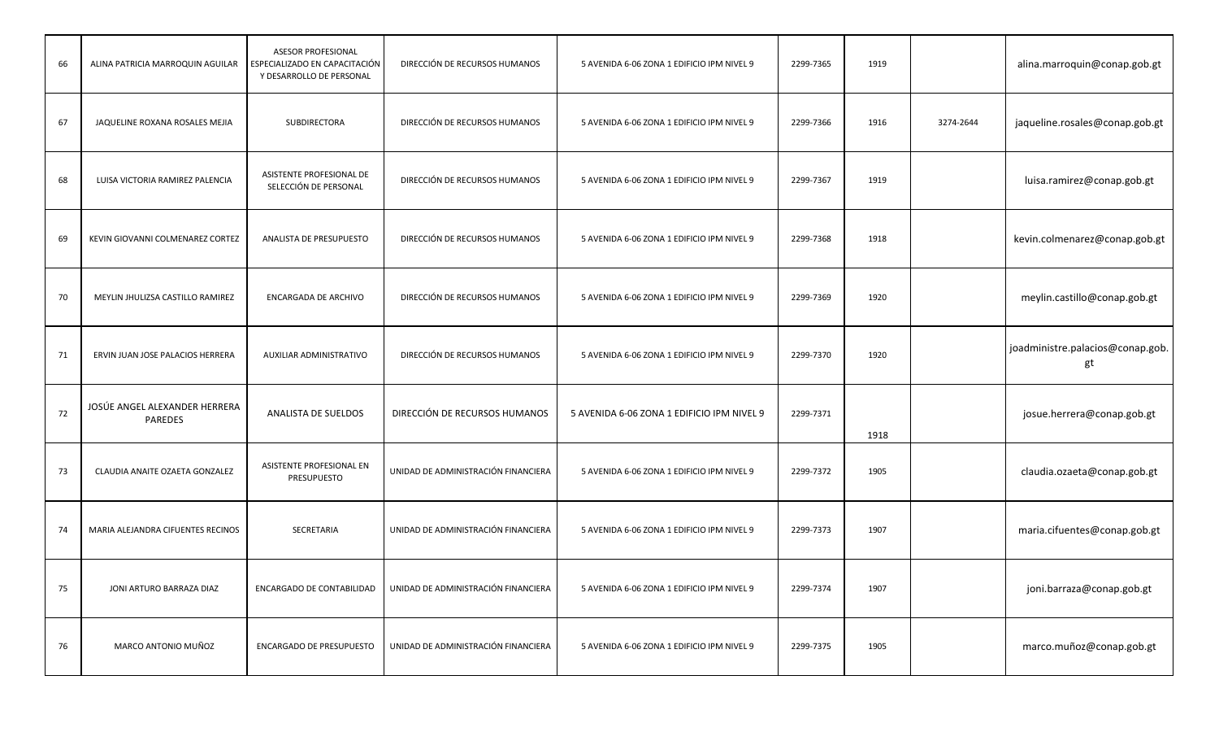| 66 | ALINA PATRICIA MARROQUIN AGUILAR         | <b>ASESOR PROFESIONAL</b><br>ESPECIALIZADO EN CAPACITACIÓN<br>Y DESARROLLO DE PERSONAL | DIRECCIÓN DE RECURSOS HUMANOS       | 5 AVENIDA 6-06 ZONA 1 EDIFICIO IPM NIVEL 9 | 2299-7365 | 1919 |           | alina.marroquin@conap.gob.gt           |
|----|------------------------------------------|----------------------------------------------------------------------------------------|-------------------------------------|--------------------------------------------|-----------|------|-----------|----------------------------------------|
| 67 | JAQUELINE ROXANA ROSALES MEJIA           | SUBDIRECTORA                                                                           | DIRECCIÓN DE RECURSOS HUMANOS       | 5 AVENIDA 6-06 ZONA 1 EDIFICIO IPM NIVEL 9 | 2299-7366 | 1916 | 3274-2644 | jaqueline.rosales@conap.gob.gt         |
| 68 | LUISA VICTORIA RAMIREZ PALENCIA          | ASISTENTE PROFESIONAL DE<br>SELECCIÓN DE PERSONAL                                      | DIRECCIÓN DE RECURSOS HUMANOS       | 5 AVENIDA 6-06 ZONA 1 EDIFICIO IPM NIVEL 9 | 2299-7367 | 1919 |           | luisa.ramirez@conap.gob.gt             |
| 69 | KEVIN GIOVANNI COLMENAREZ CORTEZ         | ANALISTA DE PRESUPUESTO                                                                | DIRECCIÓN DE RECURSOS HUMANOS       | 5 AVENIDA 6-06 ZONA 1 EDIFICIO IPM NIVEL 9 | 2299-7368 | 1918 |           | kevin.colmenarez@conap.gob.gt          |
| 70 | MEYLIN JHULIZSA CASTILLO RAMIREZ         | ENCARGADA DE ARCHIVO                                                                   | DIRECCIÓN DE RECURSOS HUMANOS       | 5 AVENIDA 6-06 ZONA 1 EDIFICIO IPM NIVEL 9 | 2299-7369 | 1920 |           | meylin.castillo@conap.gob.gt           |
| 71 | ERVIN JUAN JOSE PALACIOS HERRERA         | AUXILIAR ADMINISTRATIVO                                                                | DIRECCIÓN DE RECURSOS HUMANOS       | 5 AVENIDA 6-06 ZONA 1 EDIFICIO IPM NIVEL 9 | 2299-7370 | 1920 |           | joadministre.palacios@conap.gob.<br>gt |
| 72 | JOSÚE ANGEL ALEXANDER HERRERA<br>PAREDES | ANALISTA DE SUELDOS                                                                    | DIRECCIÓN DE RECURSOS HUMANOS       | 5 AVENIDA 6-06 ZONA 1 EDIFICIO IPM NIVEL 9 | 2299-7371 | 1918 |           | josue.herrera@conap.gob.gt             |
| 73 | CLAUDIA ANAITE OZAETA GONZALEZ           | ASISTENTE PROFESIONAL EN<br>PRESUPUESTO                                                | UNIDAD DE ADMINISTRACIÓN FINANCIERA | 5 AVENIDA 6-06 ZONA 1 EDIFICIO IPM NIVEL 9 | 2299-7372 | 1905 |           | claudia.ozaeta@conap.gob.gt            |
| 74 | MARIA ALEJANDRA CIFUENTES RECINOS        | SECRETARIA                                                                             | UNIDAD DE ADMINISTRACIÓN FINANCIERA | 5 AVENIDA 6-06 ZONA 1 EDIFICIO IPM NIVEL 9 | 2299-7373 | 1907 |           | maria.cifuentes@conap.gob.gt           |
| 75 | JONI ARTURO BARRAZA DIAZ                 | ENCARGADO DE CONTABILIDAD                                                              | UNIDAD DE ADMINISTRACIÓN FINANCIERA | 5 AVENIDA 6-06 ZONA 1 EDIFICIO IPM NIVEL 9 | 2299-7374 | 1907 |           | joni.barraza@conap.gob.gt              |
| 76 | MARCO ANTONIO MUÑOZ                      | ENCARGADO DE PRESUPUESTO                                                               | UNIDAD DE ADMINISTRACIÓN FINANCIERA | 5 AVENIDA 6-06 ZONA 1 EDIFICIO IPM NIVEL 9 | 2299-7375 | 1905 |           | marco.muñoz@conap.gob.gt               |